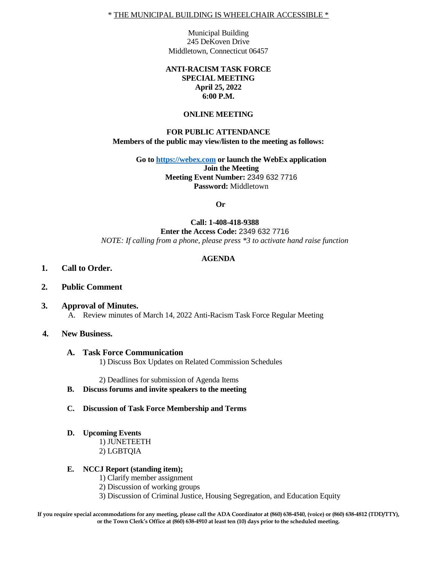\* THE MUNICIPAL BUILDING IS WHEELCHAIR ACCESSIBLE \*

Municipal Building 245 DeKoven Drive Middletown, Connecticut 06457

## **ANTI-RACISM TASK FORCE SPECIAL MEETING April 25, 2022 6:00 P.M.**

#### **ONLINE MEETING**

## **FOR PUBLIC ATTENDANCE Members of the public may view/listen to the meeting as follows:**

**Go to [https://webex.com](https://webex.com/) or launch the WebEx application Join the Meeting Meeting Event Number:** 2349 632 7716 **Password:** Middletown

**Or**

## **Call: 1-408-418-9388 Enter the Access Code:** 2349 632 7716 *NOTE: If calling from a phone, please press \*3 to activate hand raise function*

## **AGENDA**

- **1. Call to Order.**
- **2. Public Comment**
- **3. Approval of Minutes.** A. Review minutes of March 14, 2022 Anti-Racism Task Force Regular Meeting

#### **4. New Business.**

**A. Task Force Communication** 

1) Discuss Box Updates on Related Commission Schedules

2) Deadlines for submission of Agenda Items

- **B. Discuss forums and invite speakers to the meeting**
- **C. Discussion of Task Force Membership and Terms**
- **D. Upcoming Events**

1) JUNETEETH 2) LGBTQIA

#### **E. NCCJ Report (standing item);**

- 1) Clarify member assignment
- 2) Discussion of working groups
- 3) Discussion of Criminal Justice, Housing Segregation, and Education Equity

**If you require special accommodations for any meeting, please call the ADA Coordinator at (860) 638-4540, (voice) or (860) 638-4812 (TDD/TTY), or the Town Clerk's Office at (860) 638-4910 at least ten (10) days prior to the scheduled meeting.**